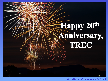# Happy 20th miversary, TREC

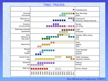#### TREC TRACKS Crowdsourcing Personal Blog, Microblog documents Spam  $\square \square \square$  Chemical IR Retrieval in a domain Genomics, Medical Records Answers, Novelty not documents QA, Entity Searching corporate Legal repositories **Enterprise** Size, Terabyte, Million Query efficiency, & Web web search VLC Video n din Fi Beyond text Speech **TIP OCR** Beyond Cross-language just Chinese English Spanish Human-in-the-**Maria**  HARD, Feedback <u>ra in L</u> loop **Interactive, Session Filtering** Streamed  $\mathcal{O}(\mathbb{R}^d)$  $\mathcal{A}$ text Routing Static text  $\blacksquare$  Ad Hoc, Robust 1992 1993 1994 1995 1996 1997 1998 1999 2000 2001 2002 2003 2004 2005 2006 2007 2008 2009 2010 2011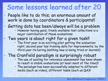### Some lessons learned after 20

• People like to do this; an enormous amount of work is done by coordinators & participants!!

## • Getting data has been/always will be a problem • However having good, freely available test collections is a

major contribution of these evaluations

### • Two years is about right for a given task!!<br>• The first year is an exciting pilot getting the evaluation

right; second year has training data for improvements; by the third year its boring (nothing new is being tried or learned)

### • The Cranfield paradigm is surprisingly robust • The use of pooling for relevance assessment has been shown

- to result in stable evaluations (at least most of the time)!!
- The paradigm has been successfully adapted to different media (such as video), different tasks (such as QA)!!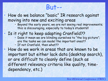### But--

- How do we balance "basic" IR research against moving into new and exciting areas<br>• Beyond the early years, we are not seeing real improvements;
	- this is discouraging, especially to today's students!!
- Is it right to keep adapting Cranfield??
	- Does it mean we are blinding ourselves to "the big picture"; are the tasks we can model the important ones??
	- If not Cranfield, then what??

• How do we work in areas that are known to be important but either lack data (desktop search), or are difficult to cleanly define (such as different relevancy criteria like quality, timedependency, etc.)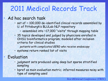### 2011 Medical Records Track

#### • Ad hoc search task

- set of ~ 100,000 de-identified clinical records assembled by U. of Pittsburgh's BLULab NLP repository
	- assembled into ~17,000 "visits" through mapping table
- 35 topics developed and judged by physicians enrolled in OHSU bioinformatics program; modeled after inclusion criteria for clinical studies

patients with complicated GERD who receive endoscopy

• systems return ranked list of visits

### • Evaluation

- judgment sets produced using deep but sparse stratified sampling
- bpref as main evaluation metric; inferred measures noisy with type of sampling used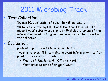### 2011 Microblog Track

#### • Test Collection

- Tweets2011 collection of about 16 million tweets
- 50 topics created by NIST assessors consisting of [title, triggerTweet] pairs where title is an English statement of the information need and triggerTweet is a pointer to a tweet in the collection

### • Evaluation

- pools of top 30 tweets from submitted runs
- tweet is relevant if it contains relevant information itself or points to relevant information
	- Must be in English and NOT a retweet
	- Must precede time of triggerTweet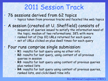### 2011 Session Track

### • 76 sessions derived from 62 topics<br>• topics taken from previous tracks and faceted like web topics

## • A session (created at U. Sheffield) consists of<br>• sequence of queries issued to satisfy the information need of

- the topic; median of two reformations; 38% with more
- ranked list of (top 10) URLs returned for each query
- set of URLs clicked on plus dwell times for each query

### • Four runs comprise single submission: • **R1**: results for last query using no other info

- 
- **R2**: results for last query, using content of all previous queries in session
- **R3**: results for last query using content of previous queries plus ranked lists
- **R4**: results for last query using content of previous queries, ranked lists, and click/dwell time info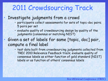### 2011 Crowdsourcing Track

#### • Investigate judgments from a crowd

- participants collect assessments for sets of topic-doc pairs; 5 pairs per set
- evaluate quality of crowdsourcing design by quality of the judgments (consensus or matching NIST)

#### • Given a set of labels for same [topic, doc] pair, compute a final label

• test data built from crowdsourcing judgments collected from TREC 2010 Relevance Feedback track; evaluate quality of consensus labels as either function of gold standard [NIST] labels or as function of others' consensus labels